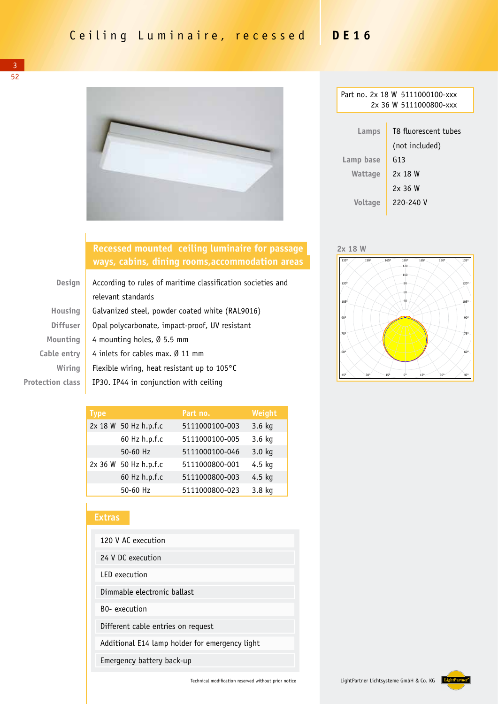

| Part no. 2x 18 W 5111000100-xxx |                        |  |
|---------------------------------|------------------------|--|
|                                 | 2x 36 W 5111000800-xxx |  |
|                                 |                        |  |
| Lamps                           | T8 fluorescent tubes   |  |
|                                 | (not included)         |  |
| Lamp base                       | G13                    |  |
| Wattage                         | 2x 18 W                |  |
|                                 | 2x36W                  |  |
| <b>Voltage</b>                  | 220-240 V              |  |
|                                 |                        |  |



**Recessed mounted ceiling luminaire for passage ways, cabins, dining rooms,accommodation areas**

| <b>Design</b>           | According to rules of maritime classification societies and |  |
|-------------------------|-------------------------------------------------------------|--|
|                         | relevant standards                                          |  |
| Housing                 | Galvanized steel, powder coated white (RAL9016)             |  |
| <b>Diffuser</b>         | Opal polycarbonate, impact-proof, UV resistant              |  |
| Mounting                | 4 mounting holes, Ø 5.5 mm                                  |  |
| Cable entry             | 4 inlets for cables max. Ø 11 mm                            |  |
| Wiring                  | Flexible wiring, heat resistant up to $105^{\circ}$ C       |  |
| <b>Protection class</b> | IP30. IP44 in conjunction with ceiling                      |  |

| Type, |                       | Part no.       | Weight |
|-------|-----------------------|----------------|--------|
|       | 2x 18 W 50 Hz h.p.f.c | 5111000100-003 | 3.6 kg |
|       | 60 Hz h.p.f.c         | 5111000100-005 | 3.6 kg |
|       | 50-60 Hz              | 5111000100-046 | 3.0 kg |
|       | 2x 36 W 50 Hz h.p.f.c | 5111000800-001 | 4.5 kg |
|       | 60 Hz h.p.f.c         | 5111000800-003 | 4.5 kg |
|       | 50-60 Hz              | 5111000800-023 | 3.8 kg |

## **Extras**

| 120 V AC execution                             |
|------------------------------------------------|
| 24 V DC execution                              |
| <b>IFD</b> execution                           |
| Dimmable electronic ballast                    |
| B0-execution                                   |
| Different cable entries on request             |
| Additional E14 lamp holder for emergency light |
| Emergency battery back-up                      |